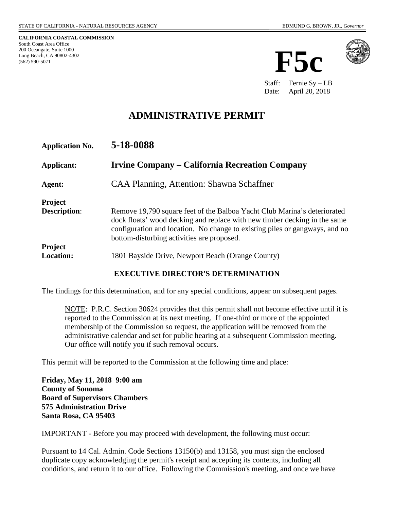**CALIFORNIA COASTAL COMMISSION** South Coast Area Office 200 Oceangate, Suite 1000 Long Beach, CA 90802-4302 (562) 590-5071





Staff: Fernie Sy – LB Date: April 20, 2018

# **ADMINISTRATIVE PERMIT**

| <b>Application No.</b>                | 5-18-0088                                                                                                                                                                                                                                                                          |
|---------------------------------------|------------------------------------------------------------------------------------------------------------------------------------------------------------------------------------------------------------------------------------------------------------------------------------|
| Applicant:                            | Irvine Company – California Recreation Company                                                                                                                                                                                                                                     |
| Agent:                                | CAA Planning, Attention: Shawna Schaffner                                                                                                                                                                                                                                          |
| <b>Project</b><br><b>Description:</b> | Remove 19,790 square feet of the Balboa Yacht Club Marina's deteriorated<br>dock floats' wood decking and replace with new timber decking in the same<br>configuration and location. No change to existing piles or gangways, and no<br>bottom-disturbing activities are proposed. |
| Project<br><b>Location:</b>           | 1801 Bayside Drive, Newport Beach (Orange County)                                                                                                                                                                                                                                  |

#### **EXECUTIVE DIRECTOR'S DETERMINATION**

The findings for this determination, and for any special conditions, appear on subsequent pages.

NOTE: P.R.C. Section 30624 provides that this permit shall not become effective until it is reported to the Commission at its next meeting. If one-third or more of the appointed membership of the Commission so request, the application will be removed from the administrative calendar and set for public hearing at a subsequent Commission meeting. Our office will notify you if such removal occurs.

This permit will be reported to the Commission at the following time and place:

**Friday, May 11, 2018 9:00 am County of Sonoma Board of Supervisors Chambers 575 Administration Drive Santa Rosa, CA 95403** 

#### IMPORTANT - Before you may proceed with development, the following must occur:

Pursuant to 14 Cal. Admin. Code Sections 13150(b) and 13158, you must sign the enclosed duplicate copy acknowledging the permit's receipt and accepting its contents, including all conditions, and return it to our office. Following the Commission's meeting, and once we have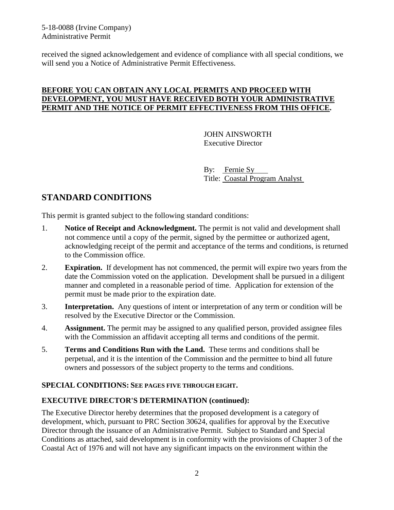5-18-0088 (Irvine Company) Administrative Permit

received the signed acknowledgement and evidence of compliance with all special conditions, we will send you a Notice of Administrative Permit Effectiveness.

#### **BEFORE YOU CAN OBTAIN ANY LOCAL PERMITS AND PROCEED WITH DEVELOPMENT, YOU MUST HAVE RECEIVED BOTH YOUR ADMINISTRATIVE PERMIT AND THE NOTICE OF PERMIT EFFECTIVENESS FROM THIS OFFICE.**

 JOHN AINSWORTH Executive Director

 By: Fernie Sy Title: Coastal Program Analyst

# **STANDARD CONDITIONS**

This permit is granted subject to the following standard conditions:

- 1. **Notice of Receipt and Acknowledgment.** The permit is not valid and development shall not commence until a copy of the permit, signed by the permittee or authorized agent, acknowledging receipt of the permit and acceptance of the terms and conditions, is returned to the Commission office.
- 2. **Expiration.** If development has not commenced, the permit will expire two years from the date the Commission voted on the application. Development shall be pursued in a diligent manner and completed in a reasonable period of time. Application for extension of the permit must be made prior to the expiration date.
- 3. **Interpretation.** Any questions of intent or interpretation of any term or condition will be resolved by the Executive Director or the Commission.
- 4. **Assignment.** The permit may be assigned to any qualified person, provided assignee files with the Commission an affidavit accepting all terms and conditions of the permit.
- 5. **Terms and Conditions Run with the Land.** These terms and conditions shall be perpetual, and it is the intention of the Commission and the permittee to bind all future owners and possessors of the subject property to the terms and conditions.

#### **SPECIAL CONDITIONS: SEE PAGES FIVE THROUGH EIGHT.**

#### **EXECUTIVE DIRECTOR'S DETERMINATION (continued):**

The Executive Director hereby determines that the proposed development is a category of development, which, pursuant to PRC Section 30624, qualifies for approval by the Executive Director through the issuance of an Administrative Permit. Subject to Standard and Special Conditions as attached, said development is in conformity with the provisions of Chapter 3 of the Coastal Act of 1976 and will not have any significant impacts on the environment within the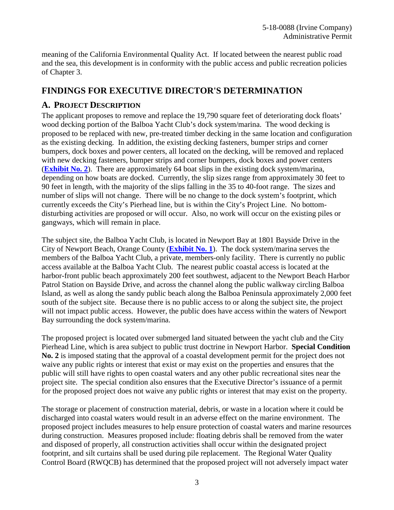meaning of the California Environmental Quality Act. If located between the nearest public road and the sea, this development is in conformity with the public access and public recreation policies of Chapter 3.

## **FINDINGS FOR EXECUTIVE DIRECTOR'S DETERMINATION**

### **A. PROJECT DESCRIPTION**

The applicant proposes to remove and replace the 19,790 square feet of deteriorating dock floats' wood decking portion of the Balboa Yacht Club's dock system/marina. The wood decking is proposed to be replaced with new, pre-treated timber decking in the same location and configuration as the existing decking. In addition, the existing decking fasteners, bumper strips and corner bumpers, dock boxes and power centers, all located on the decking, will be removed and replaced with new decking fasteners, bumper strips and corner bumpers, dock boxes and power centers (**[Exhibit No. 2](https://documents.coastal.ca.gov/reports/2018/5/F5c/F5c-5-2018-exhibits.pdf)**). There are approximately 64 boat slips in the existing dock system/marina, depending on how boats are docked. Currently, the slip sizes range from approximately 30 feet to 90 feet in length, with the majority of the slips falling in the 35 to 40-foot range. The sizes and number of slips will not change. There will be no change to the dock system's footprint, which currently exceeds the City's Pierhead line, but is within the City's Project Line. No bottomdisturbing activities are proposed or will occur. Also, no work will occur on the existing piles or gangways, which will remain in place.

The subject site, the Balboa Yacht Club, is located in Newport Bay at 1801 Bayside Drive in the City of Newport Beach, Orange County (**[Exhibit No. 1](https://documents.coastal.ca.gov/reports/2018/5/F5c/F5c-5-2018-exhibits.pdf)**). The dock system/marina serves the members of the Balboa Yacht Club, a private, members-only facility. There is currently no public access available at the Balboa Yacht Club. The nearest public coastal access is located at the harbor-front public beach approximately 200 feet southwest, adjacent to the Newport Beach Harbor Patrol Station on Bayside Drive, and across the channel along the public walkway circling Balboa Island, as well as along the sandy public beach along the Balboa Peninsula approximately 2,000 feet south of the subject site. Because there is no public access to or along the subject site, the project will not impact public access. However, the public does have access within the waters of Newport Bay surrounding the dock system/marina.

The proposed project is located over submerged land situated between the yacht club and the City Pierhead Line, which is area subject to public trust doctrine in Newport Harbor. **Special Condition No. 2** is imposed stating that the approval of a coastal development permit for the project does not waive any public rights or interest that exist or may exist on the properties and ensures that the public will still have rights to open coastal waters and any other public recreational sites near the project site. The special condition also ensures that the Executive Director's issuance of a permit for the proposed project does not waive any public rights or interest that may exist on the property.

The storage or placement of construction material, debris, or waste in a location where it could be discharged into coastal waters would result in an adverse effect on the marine environment. The proposed project includes measures to help ensure protection of coastal waters and marine resources during construction. Measures proposed include: floating debris shall be removed from the water and disposed of properly, all construction activities shall occur within the designated project footprint, and silt curtains shall be used during pile replacement. The Regional Water Quality Control Board (RWQCB) has determined that the proposed project will not adversely impact water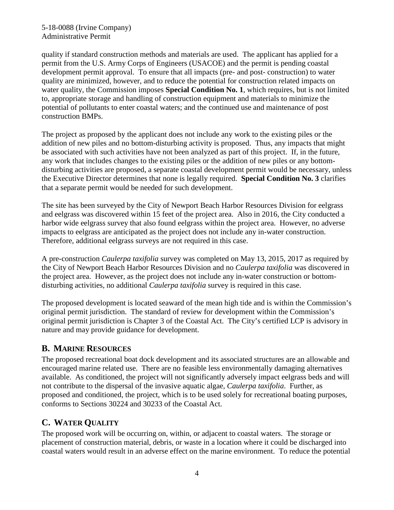#### 5-18-0088 (Irvine Company) Administrative Permit

quality if standard construction methods and materials are used. The applicant has applied for a permit from the U.S. Army Corps of Engineers (USACOE) and the permit is pending coastal development permit approval. To ensure that all impacts (pre- and post- construction) to water quality are minimized, however, and to reduce the potential for construction related impacts on water quality, the Commission imposes **Special Condition No. 1**, which requires, but is not limited to, appropriate storage and handling of construction equipment and materials to minimize the potential of pollutants to enter coastal waters; and the continued use and maintenance of post construction BMPs.

The project as proposed by the applicant does not include any work to the existing piles or the addition of new piles and no bottom-disturbing activity is proposed. Thus, any impacts that might be associated with such activities have not been analyzed as part of this project. If, in the future, any work that includes changes to the existing piles or the addition of new piles or any bottomdisturbing activities are proposed, a separate coastal development permit would be necessary, unless the Executive Director determines that none is legally required. **Special Condition No. 3** clarifies that a separate permit would be needed for such development.

The site has been surveyed by the City of Newport Beach Harbor Resources Division for eelgrass and eelgrass was discovered within 15 feet of the project area. Also in 2016, the City conducted a harbor wide eelgrass survey that also found eelgrass within the project area. However, no adverse impacts to eelgrass are anticipated as the project does not include any in-water construction. Therefore, additional eelgrass surveys are not required in this case.

A pre-construction *Caulerpa taxifolia* survey was completed on May 13, 2015, 2017 as required by the City of Newport Beach Harbor Resources Division and no *Caulerpa taxifolia* was discovered in the project area. However, as the project does not include any in-water construction or bottomdisturbing activities, no additional *Caulerpa taxifolia* survey is required in this case.

The proposed development is located seaward of the mean high tide and is within the Commission's original permit jurisdiction. The standard of review for development within the Commission's original permit jurisdiction is Chapter 3 of the Coastal Act. The City's certified LCP is advisory in nature and may provide guidance for development.

## **B. MARINE RESOURCES**

The proposed recreational boat dock development and its associated structures are an allowable and encouraged marine related use. There are no feasible less environmentally damaging alternatives available. As conditioned, the project will not significantly adversely impact eelgrass beds and will not contribute to the dispersal of the invasive aquatic algae, *Caulerpa taxifolia*. Further, as proposed and conditioned, the project, which is to be used solely for recreational boating purposes, conforms to Sections 30224 and 30233 of the Coastal Act.

# **C. WATER QUALITY**

The proposed work will be occurring on, within, or adjacent to coastal waters. The storage or placement of construction material, debris, or waste in a location where it could be discharged into coastal waters would result in an adverse effect on the marine environment. To reduce the potential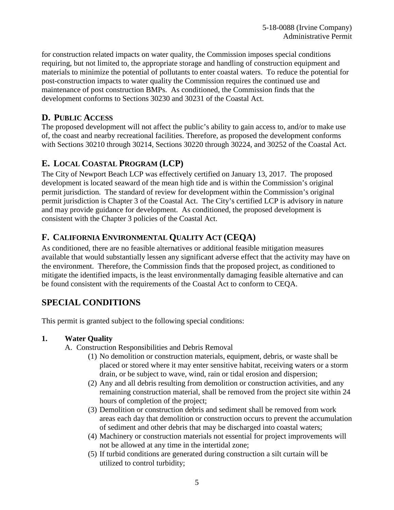for construction related impacts on water quality, the Commission imposes special conditions requiring, but not limited to, the appropriate storage and handling of construction equipment and materials to minimize the potential of pollutants to enter coastal waters. To reduce the potential for post-construction impacts to water quality the Commission requires the continued use and maintenance of post construction BMPs. As conditioned, the Commission finds that the development conforms to Sections 30230 and 30231 of the Coastal Act.

## **D. PUBLIC ACCESS**

The proposed development will not affect the public's ability to gain access to, and/or to make use of, the coast and nearby recreational facilities. Therefore, as proposed the development conforms with Sections 30210 through 30214, Sections 30220 through 30224, and 30252 of the Coastal Act.

## **E. LOCAL COASTAL PROGRAM (LCP)**

The City of Newport Beach LCP was effectively certified on January 13, 2017. The proposed development is located seaward of the mean high tide and is within the Commission's original permit jurisdiction. The standard of review for development within the Commission's original permit jurisdiction is Chapter 3 of the Coastal Act. The City's certified LCP is advisory in nature and may provide guidance for development. As conditioned, the proposed development is consistent with the Chapter 3 policies of the Coastal Act.

## **F. CALIFORNIA ENVIRONMENTAL QUALITY ACT (CEQA)**

As conditioned, there are no feasible alternatives or additional feasible mitigation measures available that would substantially lessen any significant adverse effect that the activity may have on the environment. Therefore, the Commission finds that the proposed project, as conditioned to mitigate the identified impacts, is the least environmentally damaging feasible alternative and can be found consistent with the requirements of the Coastal Act to conform to CEQA.

## **SPECIAL CONDITIONS**

This permit is granted subject to the following special conditions:

### **1. Water Quality**

- A. Construction Responsibilities and Debris Removal
	- (1) No demolition or construction materials, equipment, debris, or waste shall be placed or stored where it may enter sensitive habitat, receiving waters or a storm drain, or be subject to wave, wind, rain or tidal erosion and dispersion;
	- (2) Any and all debris resulting from demolition or construction activities, and any remaining construction material, shall be removed from the project site within 24 hours of completion of the project;
	- (3) Demolition or construction debris and sediment shall be removed from work areas each day that demolition or construction occurs to prevent the accumulation of sediment and other debris that may be discharged into coastal waters;
	- (4) Machinery or construction materials not essential for project improvements will not be allowed at any time in the intertidal zone;
	- (5) If turbid conditions are generated during construction a silt curtain will be utilized to control turbidity;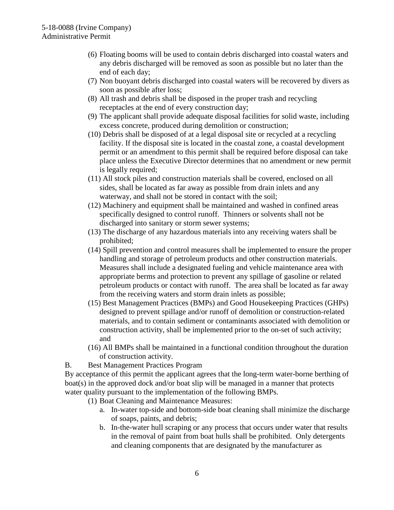- (6) Floating booms will be used to contain debris discharged into coastal waters and any debris discharged will be removed as soon as possible but no later than the end of each day;
- (7) Non buoyant debris discharged into coastal waters will be recovered by divers as soon as possible after loss;
- (8) All trash and debris shall be disposed in the proper trash and recycling receptacles at the end of every construction day;
- (9) The applicant shall provide adequate disposal facilities for solid waste, including excess concrete, produced during demolition or construction;
- (10) Debris shall be disposed of at a legal disposal site or recycled at a recycling facility. If the disposal site is located in the coastal zone, a coastal development permit or an amendment to this permit shall be required before disposal can take place unless the Executive Director determines that no amendment or new permit is legally required;
- (11) All stock piles and construction materials shall be covered, enclosed on all sides, shall be located as far away as possible from drain inlets and any waterway, and shall not be stored in contact with the soil;
- (12) Machinery and equipment shall be maintained and washed in confined areas specifically designed to control runoff. Thinners or solvents shall not be discharged into sanitary or storm sewer systems;
- (13) The discharge of any hazardous materials into any receiving waters shall be prohibited;
- (14) Spill prevention and control measures shall be implemented to ensure the proper handling and storage of petroleum products and other construction materials. Measures shall include a designated fueling and vehicle maintenance area with appropriate berms and protection to prevent any spillage of gasoline or related petroleum products or contact with runoff. The area shall be located as far away from the receiving waters and storm drain inlets as possible;
- (15) Best Management Practices (BMPs) and Good Housekeeping Practices (GHPs) designed to prevent spillage and/or runoff of demolition or construction-related materials, and to contain sediment or contaminants associated with demolition or construction activity, shall be implemented prior to the on-set of such activity; and
- (16) All BMPs shall be maintained in a functional condition throughout the duration of construction activity.
- B. Best Management Practices Program

By acceptance of this permit the applicant agrees that the long-term water-borne berthing of boat(s) in the approved dock and/or boat slip will be managed in a manner that protects water quality pursuant to the implementation of the following BMPs.

- (1) Boat Cleaning and Maintenance Measures:
	- a. In-water top-side and bottom-side boat cleaning shall minimize the discharge of soaps, paints, and debris;
	- b. In-the-water hull scraping or any process that occurs under water that results in the removal of paint from boat hulls shall be prohibited. Only detergents and cleaning components that are designated by the manufacturer as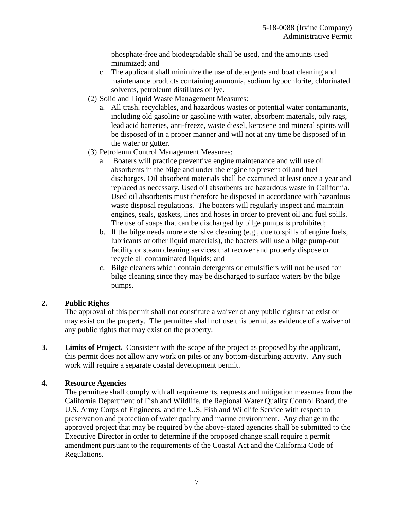phosphate-free and biodegradable shall be used, and the amounts used minimized; and

- c. The applicant shall minimize the use of detergents and boat cleaning and maintenance products containing ammonia, sodium hypochlorite, chlorinated solvents, petroleum distillates or lye.
- (2) Solid and Liquid Waste Management Measures:
	- a. All trash, recyclables, and hazardous wastes or potential water contaminants, including old gasoline or gasoline with water, absorbent materials, oily rags, lead acid batteries, anti-freeze, waste diesel, kerosene and mineral spirits will be disposed of in a proper manner and will not at any time be disposed of in the water or gutter.
- (3) Petroleum Control Management Measures:
	- a. Boaters will practice preventive engine maintenance and will use oil absorbents in the bilge and under the engine to prevent oil and fuel discharges. Oil absorbent materials shall be examined at least once a year and replaced as necessary. Used oil absorbents are hazardous waste in California. Used oil absorbents must therefore be disposed in accordance with hazardous waste disposal regulations. The boaters will regularly inspect and maintain engines, seals, gaskets, lines and hoses in order to prevent oil and fuel spills. The use of soaps that can be discharged by bilge pumps is prohibited;
	- b. If the bilge needs more extensive cleaning (e.g., due to spills of engine fuels, lubricants or other liquid materials), the boaters will use a bilge pump-out facility or steam cleaning services that recover and properly dispose or recycle all contaminated liquids; and
	- c. Bilge cleaners which contain detergents or emulsifiers will not be used for bilge cleaning since they may be discharged to surface waters by the bilge pumps.

### **2. Public Rights**

The approval of this permit shall not constitute a waiver of any public rights that exist or may exist on the property. The permittee shall not use this permit as evidence of a waiver of any public rights that may exist on the property.

**3. Limits of Project.** Consistent with the scope of the project as proposed by the applicant, this permit does not allow any work on piles or any bottom-disturbing activity. Any such work will require a separate coastal development permit.

#### **4. Resource Agencies**

The permittee shall comply with all requirements, requests and mitigation measures from the California Department of Fish and Wildlife, the Regional Water Quality Control Board, the U.S. Army Corps of Engineers, and the U.S. Fish and Wildlife Service with respect to preservation and protection of water quality and marine environment. Any change in the approved project that may be required by the above-stated agencies shall be submitted to the Executive Director in order to determine if the proposed change shall require a permit amendment pursuant to the requirements of the Coastal Act and the California Code of Regulations.